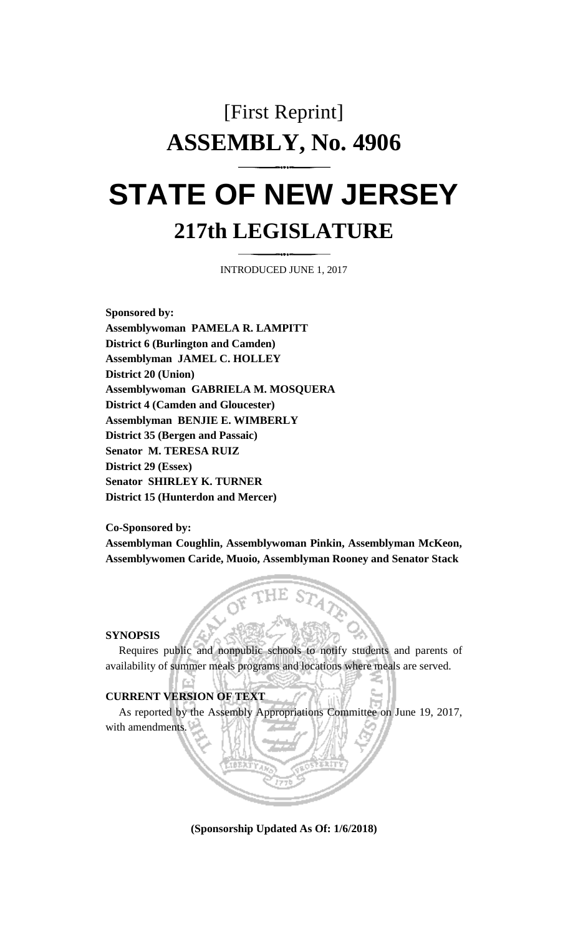## [First Reprint] **ASSEMBLY, No. 4906 STATE OF NEW JERSEY**

## **217th LEGISLATURE**

INTRODUCED JUNE 1, 2017

**Sponsored by: Assemblywoman PAMELA R. LAMPITT District 6 (Burlington and Camden) Assemblyman JAMEL C. HOLLEY District 20 (Union) Assemblywoman GABRIELA M. MOSQUERA District 4 (Camden and Gloucester) Assemblyman BENJIE E. WIMBERLY District 35 (Bergen and Passaic) Senator M. TERESA RUIZ District 29 (Essex) Senator SHIRLEY K. TURNER District 15 (Hunterdon and Mercer)**

**Co-Sponsored by:**

**Assemblyman Coughlin, Assemblywoman Pinkin, Assemblyman McKeon, Assemblywomen Caride, Muoio, Assemblyman Rooney and Senator Stack**

**SYNOPSIS**

Requires public and nonpublic schools to notify students and parents of availability of summer meals programs and locations where meals are served.

## **CURRENT VERSION OF TEXT**

As reported by the Assembly Appropriations Committee on June 19, 2017, with amendments.

**(Sponsorship Updated As Of: 1/6/2018)**